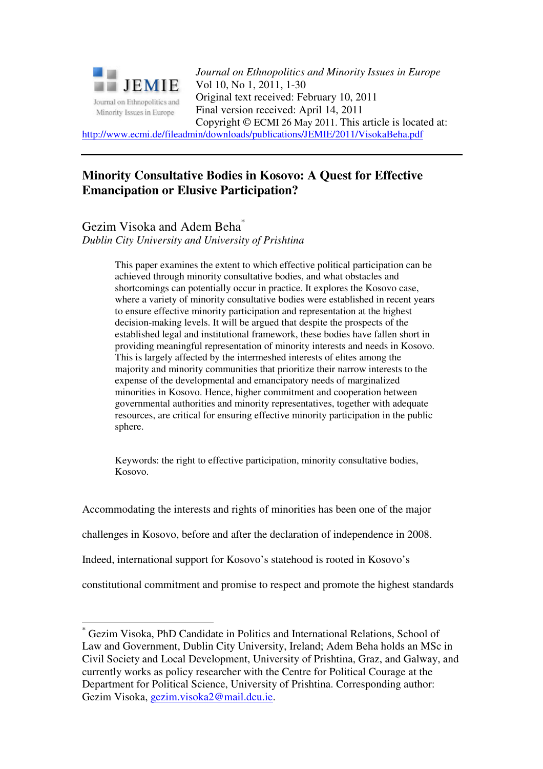

*Journal on Ethnopolitics and Minority Issues in Europe* Vol 10, No 1, 2011, 1-30 Original text received: February 10, 2011 Final version received: April 14, 2011 Copyright © ECMI 26 May 2011. This article is located at:

http://www.ecmi.de/fileadmin/downloads/publications/JEMIE/2011/VisokaBeha.pdf

# **Minority Consultative Bodies in Kosovo: A Quest for Effective Emancipation or Elusive Participation?**

Gezim Visoka and Adem Beha\*

*Dublin City University and University of Prishtina* 

This paper examines the extent to which effective political participation can be achieved through minority consultative bodies, and what obstacles and shortcomings can potentially occur in practice. It explores the Kosovo case, where a variety of minority consultative bodies were established in recent years to ensure effective minority participation and representation at the highest decision-making levels. It will be argued that despite the prospects of the established legal and institutional framework, these bodies have fallen short in providing meaningful representation of minority interests and needs in Kosovo. This is largely affected by the intermeshed interests of elites among the majority and minority communities that prioritize their narrow interests to the expense of the developmental and emancipatory needs of marginalized minorities in Kosovo. Hence, higher commitment and cooperation between governmental authorities and minority representatives, together with adequate resources, are critical for ensuring effective minority participation in the public sphere.

Keywords: the right to effective participation, minority consultative bodies, Kosovo.

Accommodating the interests and rights of minorities has been one of the major

challenges in Kosovo, before and after the declaration of independence in 2008.

Indeed, international support for Kosovo's statehood is rooted in Kosovo's

constitutional commitment and promise to respect and promote the highest standards

 $\overline{a}$ \* Gezim Visoka, PhD Candidate in Politics and International Relations, School of Law and Government, Dublin City University, Ireland; Adem Beha holds an MSc in Civil Society and Local Development, University of Prishtina, Graz, and Galway, and currently works as policy researcher with the Centre for Political Courage at the Department for Political Science, University of Prishtina. Corresponding author: Gezim Visoka, gezim.visoka2@mail.dcu.ie.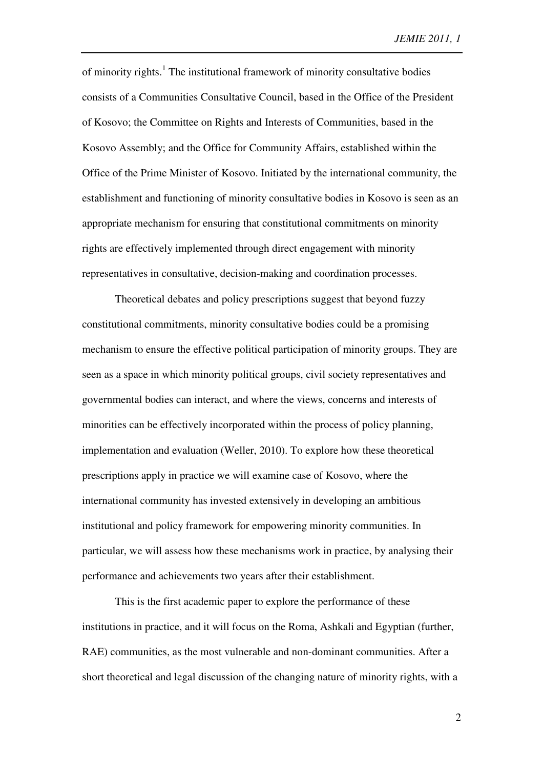of minority rights.<sup>1</sup> The institutional framework of minority consultative bodies consists of a Communities Consultative Council, based in the Office of the President of Kosovo; the Committee on Rights and Interests of Communities, based in the Kosovo Assembly; and the Office for Community Affairs, established within the Office of the Prime Minister of Kosovo. Initiated by the international community, the establishment and functioning of minority consultative bodies in Kosovo is seen as an appropriate mechanism for ensuring that constitutional commitments on minority rights are effectively implemented through direct engagement with minority representatives in consultative, decision-making and coordination processes.

Theoretical debates and policy prescriptions suggest that beyond fuzzy constitutional commitments, minority consultative bodies could be a promising mechanism to ensure the effective political participation of minority groups. They are seen as a space in which minority political groups, civil society representatives and governmental bodies can interact, and where the views, concerns and interests of minorities can be effectively incorporated within the process of policy planning, implementation and evaluation (Weller, 2010). To explore how these theoretical prescriptions apply in practice we will examine case of Kosovo, where the international community has invested extensively in developing an ambitious institutional and policy framework for empowering minority communities. In particular, we will assess how these mechanisms work in practice, by analysing their performance and achievements two years after their establishment.

This is the first academic paper to explore the performance of these institutions in practice, and it will focus on the Roma, Ashkali and Egyptian (further, RAE) communities, as the most vulnerable and non-dominant communities. After a short theoretical and legal discussion of the changing nature of minority rights, with a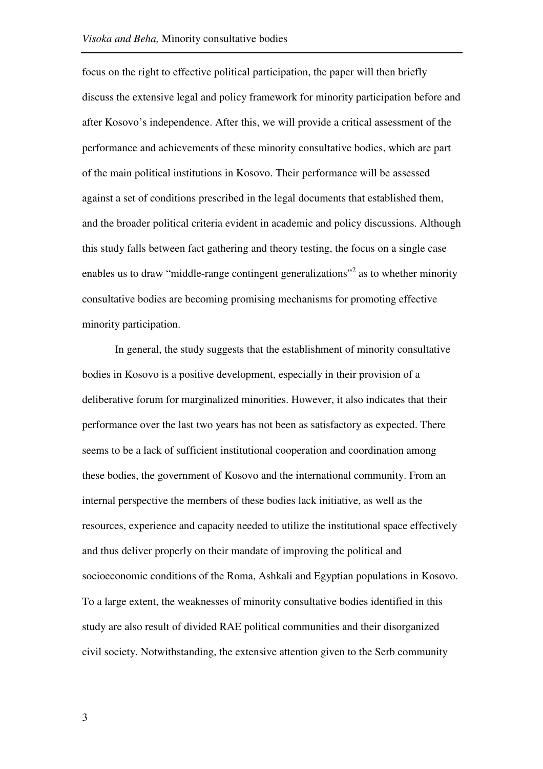focus on the right to effective political participation, the paper will then briefly discuss the extensive legal and policy framework for minority participation before and after Kosovo's independence. After this, we will provide a critical assessment of the performance and achievements of these minority consultative bodies, which are part of the main political institutions in Kosovo. Their performance will be assessed against a set of conditions prescribed in the legal documents that established them, and the broader political criteria evident in academic and policy discussions. Although this study falls between fact gathering and theory testing, the focus on a single case enables us to draw "middle-range contingent generalizations"<sup>2</sup> as to whether minority consultative bodies are becoming promising mechanisms for promoting effective minority participation.

In general, the study suggests that the establishment of minority consultative bodies in Kosovo is a positive development, especially in their provision of a deliberative forum for marginalized minorities. However, it also indicates that their performance over the last two years has not been as satisfactory as expected. There seems to be a lack of sufficient institutional cooperation and coordination among these bodies, the government of Kosovo and the international community. From an internal perspective the members of these bodies lack initiative, as well as the resources, experience and capacity needed to utilize the institutional space effectively and thus deliver properly on their mandate of improving the political and socioeconomic conditions of the Roma, Ashkali and Egyptian populations in Kosovo. To a large extent, the weaknesses of minority consultative bodies identified in this study are also result of divided RAE political communities and their disorganized civil society. Notwithstanding, the extensive attention given to the Serb community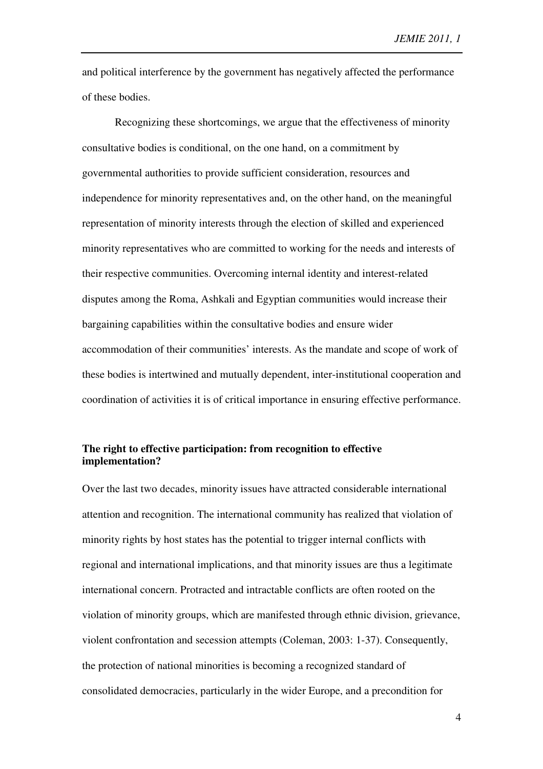and political interference by the government has negatively affected the performance of these bodies.

Recognizing these shortcomings, we argue that the effectiveness of minority consultative bodies is conditional, on the one hand, on a commitment by governmental authorities to provide sufficient consideration, resources and independence for minority representatives and, on the other hand, on the meaningful representation of minority interests through the election of skilled and experienced minority representatives who are committed to working for the needs and interests of their respective communities. Overcoming internal identity and interest-related disputes among the Roma, Ashkali and Egyptian communities would increase their bargaining capabilities within the consultative bodies and ensure wider accommodation of their communities' interests. As the mandate and scope of work of these bodies is intertwined and mutually dependent, inter-institutional cooperation and coordination of activities it is of critical importance in ensuring effective performance.

# **The right to effective participation: from recognition to effective implementation?**

Over the last two decades, minority issues have attracted considerable international attention and recognition. The international community has realized that violation of minority rights by host states has the potential to trigger internal conflicts with regional and international implications, and that minority issues are thus a legitimate international concern. Protracted and intractable conflicts are often rooted on the violation of minority groups, which are manifested through ethnic division, grievance, violent confrontation and secession attempts (Coleman, 2003: 1-37). Consequently, the protection of national minorities is becoming a recognized standard of consolidated democracies, particularly in the wider Europe, and a precondition for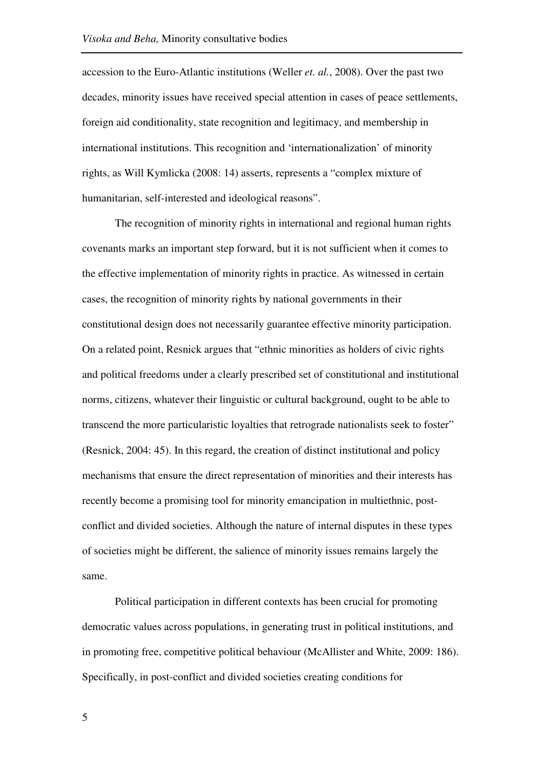accession to the Euro-Atlantic institutions (Weller *et. al.*, 2008). Over the past two decades, minority issues have received special attention in cases of peace settlements, foreign aid conditionality, state recognition and legitimacy, and membership in international institutions. This recognition and 'internationalization' of minority rights, as Will Kymlicka (2008: 14) asserts, represents a "complex mixture of humanitarian, self-interested and ideological reasons".

The recognition of minority rights in international and regional human rights covenants marks an important step forward, but it is not sufficient when it comes to the effective implementation of minority rights in practice. As witnessed in certain cases, the recognition of minority rights by national governments in their constitutional design does not necessarily guarantee effective minority participation. On a related point, Resnick argues that "ethnic minorities as holders of civic rights and political freedoms under a clearly prescribed set of constitutional and institutional norms, citizens, whatever their linguistic or cultural background, ought to be able to transcend the more particularistic loyalties that retrograde nationalists seek to foster" (Resnick, 2004: 45). In this regard, the creation of distinct institutional and policy mechanisms that ensure the direct representation of minorities and their interests has recently become a promising tool for minority emancipation in multiethnic, postconflict and divided societies. Although the nature of internal disputes in these types of societies might be different, the salience of minority issues remains largely the same.

Political participation in different contexts has been crucial for promoting democratic values across populations, in generating trust in political institutions, and in promoting free, competitive political behaviour (McAllister and White, 2009: 186). Specifically, in post-conflict and divided societies creating conditions for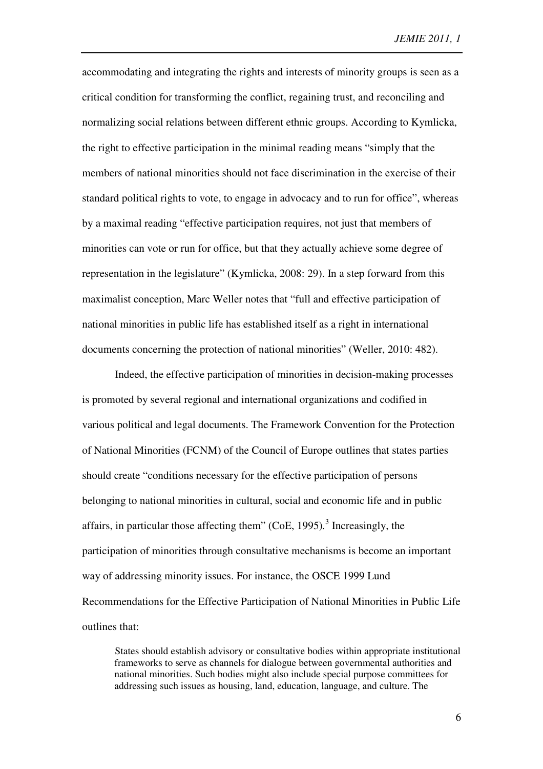accommodating and integrating the rights and interests of minority groups is seen as a critical condition for transforming the conflict, regaining trust, and reconciling and normalizing social relations between different ethnic groups. According to Kymlicka, the right to effective participation in the minimal reading means "simply that the members of national minorities should not face discrimination in the exercise of their standard political rights to vote, to engage in advocacy and to run for office", whereas by a maximal reading "effective participation requires, not just that members of minorities can vote or run for office, but that they actually achieve some degree of representation in the legislature" (Kymlicka, 2008: 29). In a step forward from this maximalist conception, Marc Weller notes that "full and effective participation of national minorities in public life has established itself as a right in international documents concerning the protection of national minorities" (Weller, 2010: 482).

Indeed, the effective participation of minorities in decision-making processes is promoted by several regional and international organizations and codified in various political and legal documents. The Framework Convention for the Protection of National Minorities (FCNM) of the Council of Europe outlines that states parties should create "conditions necessary for the effective participation of persons belonging to national minorities in cultural, social and economic life and in public affairs, in particular those affecting them" (CoE, 1995)*.* 3 Increasingly, the participation of minorities through consultative mechanisms is become an important way of addressing minority issues. For instance, the OSCE 1999 Lund Recommendations for the Effective Participation of National Minorities in Public Life outlines that:

States should establish advisory or consultative bodies within appropriate institutional frameworks to serve as channels for dialogue between governmental authorities and national minorities. Such bodies might also include special purpose committees for addressing such issues as housing, land, education, language, and culture. The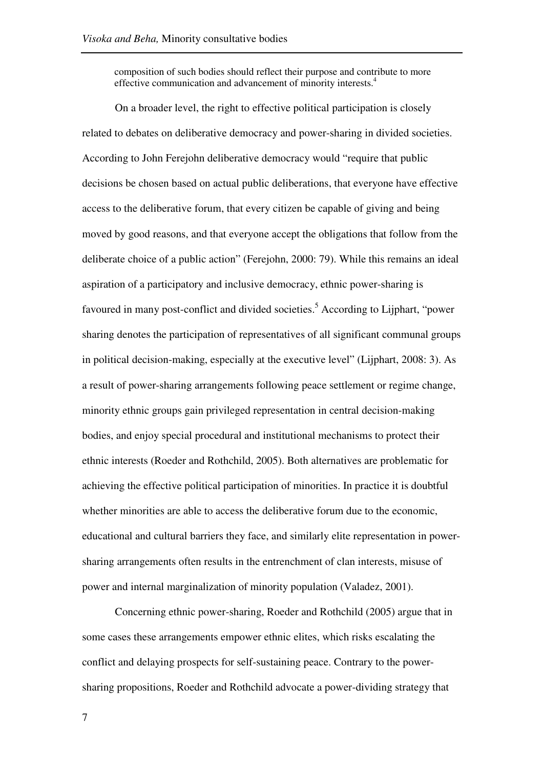composition of such bodies should reflect their purpose and contribute to more effective communication and advancement of minority interests.<sup>4</sup>

On a broader level, the right to effective political participation is closely related to debates on deliberative democracy and power-sharing in divided societies. According to John Ferejohn deliberative democracy would "require that public decisions be chosen based on actual public deliberations, that everyone have effective access to the deliberative forum, that every citizen be capable of giving and being moved by good reasons, and that everyone accept the obligations that follow from the deliberate choice of a public action" (Ferejohn, 2000: 79). While this remains an ideal aspiration of a participatory and inclusive democracy, ethnic power-sharing is favoured in many post-conflict and divided societies.<sup>5</sup> According to Lijphart, "power sharing denotes the participation of representatives of all significant communal groups in political decision-making, especially at the executive level" (Lijphart, 2008: 3). As a result of power-sharing arrangements following peace settlement or regime change, minority ethnic groups gain privileged representation in central decision-making bodies, and enjoy special procedural and institutional mechanisms to protect their ethnic interests (Roeder and Rothchild, 2005). Both alternatives are problematic for achieving the effective political participation of minorities. In practice it is doubtful whether minorities are able to access the deliberative forum due to the economic, educational and cultural barriers they face, and similarly elite representation in powersharing arrangements often results in the entrenchment of clan interests, misuse of power and internal marginalization of minority population (Valadez, 2001).

Concerning ethnic power-sharing, Roeder and Rothchild (2005) argue that in some cases these arrangements empower ethnic elites, which risks escalating the conflict and delaying prospects for self-sustaining peace. Contrary to the powersharing propositions, Roeder and Rothchild advocate a power-dividing strategy that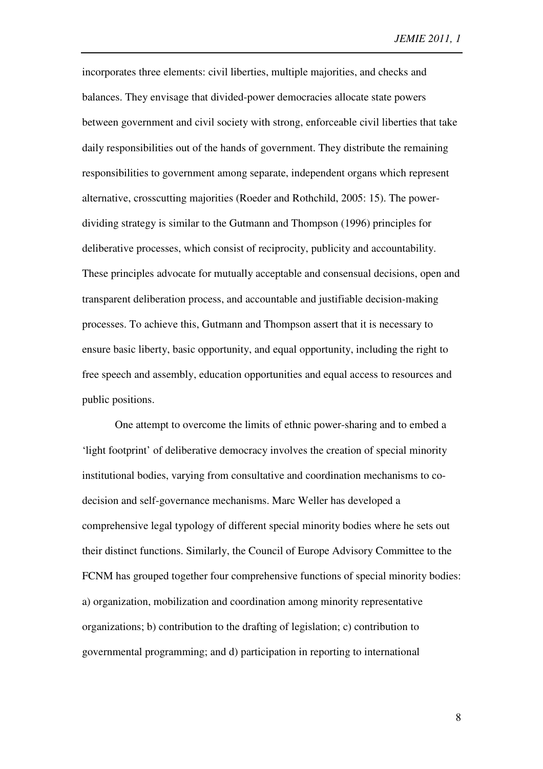incorporates three elements: civil liberties, multiple majorities, and checks and balances. They envisage that divided-power democracies allocate state powers between government and civil society with strong, enforceable civil liberties that take daily responsibilities out of the hands of government. They distribute the remaining responsibilities to government among separate, independent organs which represent alternative, crosscutting majorities (Roeder and Rothchild, 2005: 15). The powerdividing strategy is similar to the Gutmann and Thompson (1996) principles for deliberative processes, which consist of reciprocity, publicity and accountability. These principles advocate for mutually acceptable and consensual decisions, open and transparent deliberation process, and accountable and justifiable decision-making processes. To achieve this, Gutmann and Thompson assert that it is necessary to ensure basic liberty, basic opportunity, and equal opportunity, including the right to free speech and assembly, education opportunities and equal access to resources and public positions.

One attempt to overcome the limits of ethnic power-sharing and to embed a 'light footprint' of deliberative democracy involves the creation of special minority institutional bodies, varying from consultative and coordination mechanisms to codecision and self-governance mechanisms. Marc Weller has developed a comprehensive legal typology of different special minority bodies where he sets out their distinct functions. Similarly, the Council of Europe Advisory Committee to the FCNM has grouped together four comprehensive functions of special minority bodies: a) organization, mobilization and coordination among minority representative organizations; b) contribution to the drafting of legislation; c) contribution to governmental programming; and d) participation in reporting to international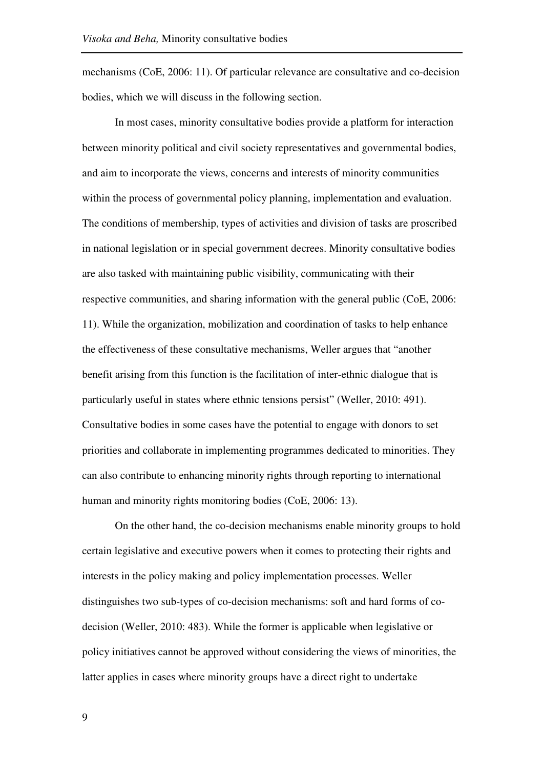mechanisms (CoE, 2006: 11). Of particular relevance are consultative and co-decision bodies, which we will discuss in the following section.

In most cases, minority consultative bodies provide a platform for interaction between minority political and civil society representatives and governmental bodies, and aim to incorporate the views, concerns and interests of minority communities within the process of governmental policy planning, implementation and evaluation. The conditions of membership, types of activities and division of tasks are proscribed in national legislation or in special government decrees. Minority consultative bodies are also tasked with maintaining public visibility, communicating with their respective communities, and sharing information with the general public (CoE, 2006: 11). While the organization, mobilization and coordination of tasks to help enhance the effectiveness of these consultative mechanisms, Weller argues that "another benefit arising from this function is the facilitation of inter-ethnic dialogue that is particularly useful in states where ethnic tensions persist" (Weller, 2010: 491). Consultative bodies in some cases have the potential to engage with donors to set priorities and collaborate in implementing programmes dedicated to minorities. They can also contribute to enhancing minority rights through reporting to international human and minority rights monitoring bodies (CoE, 2006: 13).

On the other hand, the co-decision mechanisms enable minority groups to hold certain legislative and executive powers when it comes to protecting their rights and interests in the policy making and policy implementation processes. Weller distinguishes two sub-types of co-decision mechanisms: soft and hard forms of codecision (Weller, 2010: 483). While the former is applicable when legislative or policy initiatives cannot be approved without considering the views of minorities, the latter applies in cases where minority groups have a direct right to undertake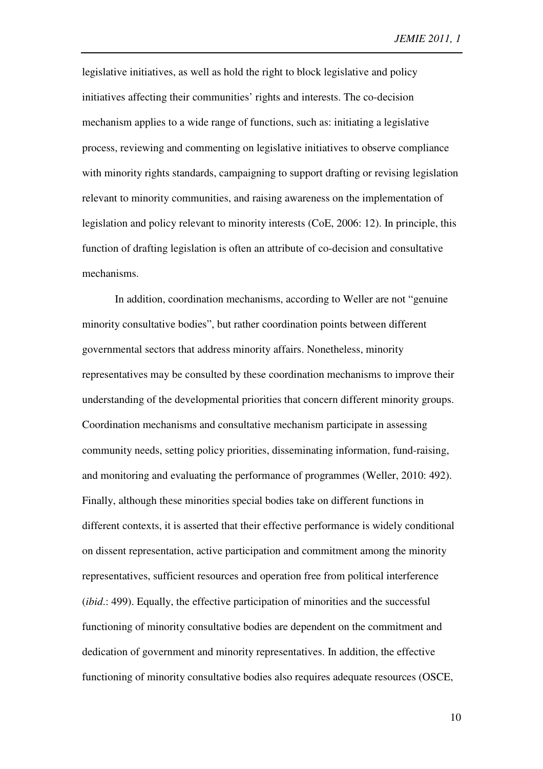legislative initiatives, as well as hold the right to block legislative and policy initiatives affecting their communities' rights and interests. The co-decision mechanism applies to a wide range of functions, such as: initiating a legislative process, reviewing and commenting on legislative initiatives to observe compliance with minority rights standards, campaigning to support drafting or revising legislation relevant to minority communities, and raising awareness on the implementation of legislation and policy relevant to minority interests (CoE, 2006: 12). In principle, this function of drafting legislation is often an attribute of co-decision and consultative mechanisms.

In addition, coordination mechanisms, according to Weller are not "genuine minority consultative bodies", but rather coordination points between different governmental sectors that address minority affairs. Nonetheless, minority representatives may be consulted by these coordination mechanisms to improve their understanding of the developmental priorities that concern different minority groups. Coordination mechanisms and consultative mechanism participate in assessing community needs, setting policy priorities, disseminating information, fund-raising, and monitoring and evaluating the performance of programmes (Weller, 2010: 492). Finally, although these minorities special bodies take on different functions in different contexts, it is asserted that their effective performance is widely conditional on dissent representation, active participation and commitment among the minority representatives, sufficient resources and operation free from political interference (*ibid*.: 499). Equally, the effective participation of minorities and the successful functioning of minority consultative bodies are dependent on the commitment and dedication of government and minority representatives. In addition, the effective functioning of minority consultative bodies also requires adequate resources (OSCE,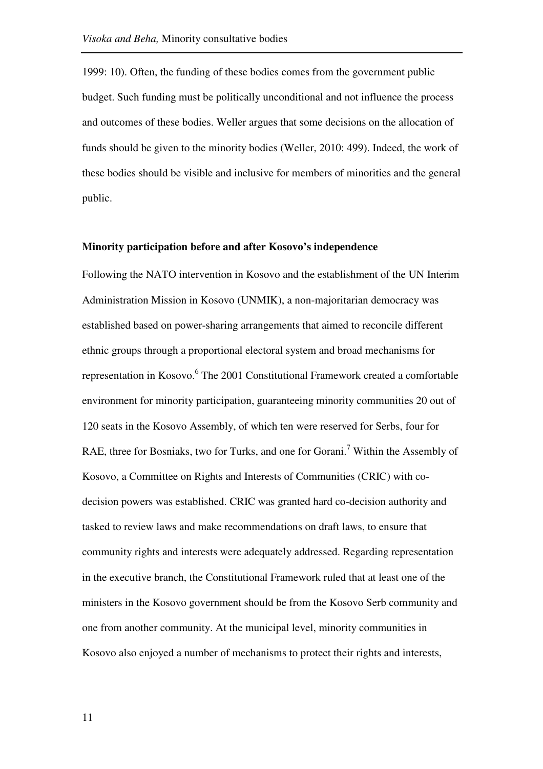1999: 10). Often, the funding of these bodies comes from the government public budget. Such funding must be politically unconditional and not influence the process and outcomes of these bodies. Weller argues that some decisions on the allocation of funds should be given to the minority bodies (Weller, 2010: 499). Indeed, the work of these bodies should be visible and inclusive for members of minorities and the general public.

#### **Minority participation before and after Kosovo's independence**

Following the NATO intervention in Kosovo and the establishment of the UN Interim Administration Mission in Kosovo (UNMIK), a non-majoritarian democracy was established based on power-sharing arrangements that aimed to reconcile different ethnic groups through a proportional electoral system and broad mechanisms for representation in Kosovo.<sup>6</sup> The 2001 Constitutional Framework created a comfortable environment for minority participation, guaranteeing minority communities 20 out of 120 seats in the Kosovo Assembly, of which ten were reserved for Serbs, four for RAE, three for Bosniaks, two for Turks, and one for Gorani.<sup>7</sup> Within the Assembly of Kosovo, a Committee on Rights and Interests of Communities (CRIC) with codecision powers was established. CRIC was granted hard co-decision authority and tasked to review laws and make recommendations on draft laws, to ensure that community rights and interests were adequately addressed. Regarding representation in the executive branch, the Constitutional Framework ruled that at least one of the ministers in the Kosovo government should be from the Kosovo Serb community and one from another community. At the municipal level, minority communities in Kosovo also enjoyed a number of mechanisms to protect their rights and interests,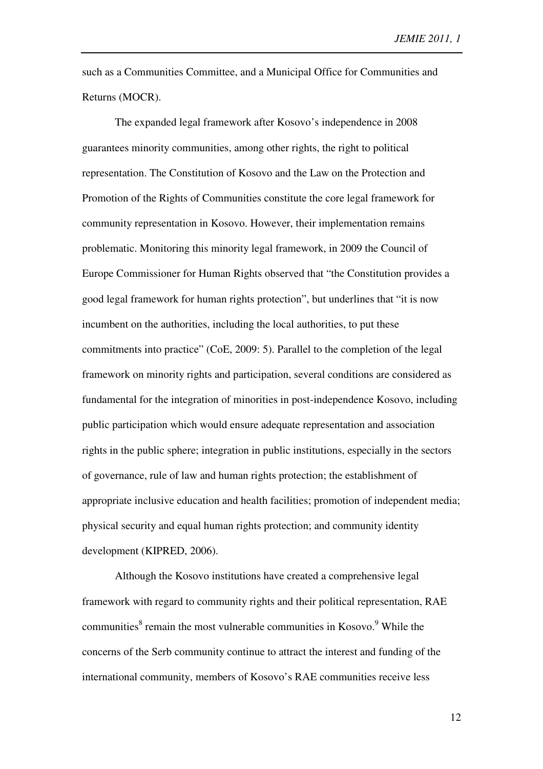such as a Communities Committee, and a Municipal Office for Communities and Returns (MOCR).

The expanded legal framework after Kosovo's independence in 2008 guarantees minority communities, among other rights, the right to political representation. The Constitution of Kosovo and the Law on the Protection and Promotion of the Rights of Communities constitute the core legal framework for community representation in Kosovo. However, their implementation remains problematic. Monitoring this minority legal framework, in 2009 the Council of Europe Commissioner for Human Rights observed that "the Constitution provides a good legal framework for human rights protection", but underlines that "it is now incumbent on the authorities, including the local authorities, to put these commitments into practice" (CoE, 2009: 5). Parallel to the completion of the legal framework on minority rights and participation, several conditions are considered as fundamental for the integration of minorities in post-independence Kosovo, including public participation which would ensure adequate representation and association rights in the public sphere; integration in public institutions, especially in the sectors of governance, rule of law and human rights protection; the establishment of appropriate inclusive education and health facilities; promotion of independent media; physical security and equal human rights protection; and community identity development (KIPRED, 2006).

Although the Kosovo institutions have created a comprehensive legal framework with regard to community rights and their political representation, RAE communities<sup>8</sup> remain the most vulnerable communities in Kosovo.<sup>9</sup> While the concerns of the Serb community continue to attract the interest and funding of the international community, members of Kosovo's RAE communities receive less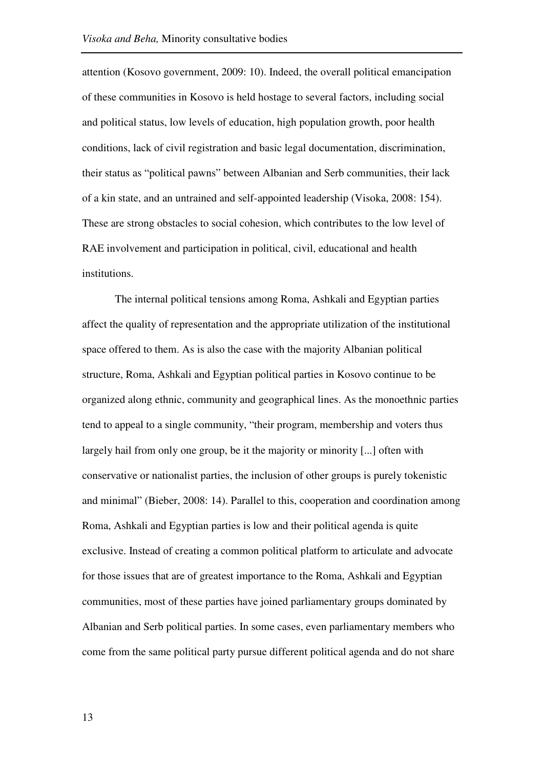attention (Kosovo government, 2009: 10). Indeed, the overall political emancipation of these communities in Kosovo is held hostage to several factors, including social and political status, low levels of education, high population growth, poor health conditions, lack of civil registration and basic legal documentation, discrimination, their status as "political pawns" between Albanian and Serb communities, their lack of a kin state, and an untrained and self-appointed leadership (Visoka, 2008: 154). These are strong obstacles to social cohesion, which contributes to the low level of RAE involvement and participation in political, civil, educational and health institutions.

The internal political tensions among Roma, Ashkali and Egyptian parties affect the quality of representation and the appropriate utilization of the institutional space offered to them. As is also the case with the majority Albanian political structure, Roma, Ashkali and Egyptian political parties in Kosovo continue to be organized along ethnic, community and geographical lines. As the monoethnic parties tend to appeal to a single community, "their program, membership and voters thus largely hail from only one group, be it the majority or minority [...] often with conservative or nationalist parties, the inclusion of other groups is purely tokenistic and minimal" (Bieber, 2008: 14). Parallel to this, cooperation and coordination among Roma, Ashkali and Egyptian parties is low and their political agenda is quite exclusive. Instead of creating a common political platform to articulate and advocate for those issues that are of greatest importance to the Roma, Ashkali and Egyptian communities, most of these parties have joined parliamentary groups dominated by Albanian and Serb political parties. In some cases, even parliamentary members who come from the same political party pursue different political agenda and do not share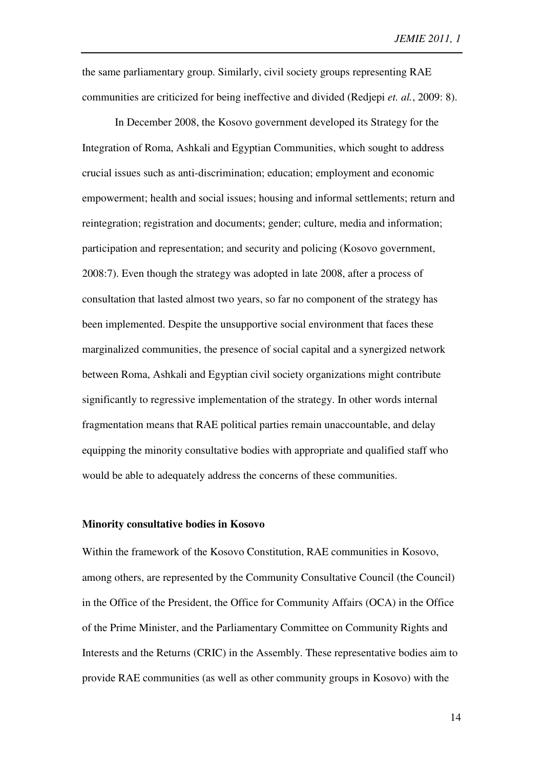the same parliamentary group. Similarly, civil society groups representing RAE communities are criticized for being ineffective and divided (Redjepi *et. al.*, 2009: 8).

In December 2008, the Kosovo government developed its Strategy for the Integration of Roma, Ashkali and Egyptian Communities, which sought to address crucial issues such as anti-discrimination; education; employment and economic empowerment; health and social issues; housing and informal settlements; return and reintegration; registration and documents; gender; culture, media and information; participation and representation; and security and policing (Kosovo government, 2008:7). Even though the strategy was adopted in late 2008, after a process of consultation that lasted almost two years, so far no component of the strategy has been implemented. Despite the unsupportive social environment that faces these marginalized communities, the presence of social capital and a synergized network between Roma, Ashkali and Egyptian civil society organizations might contribute significantly to regressive implementation of the strategy. In other words internal fragmentation means that RAE political parties remain unaccountable, and delay equipping the minority consultative bodies with appropriate and qualified staff who would be able to adequately address the concerns of these communities.

# **Minority consultative bodies in Kosovo**

Within the framework of the Kosovo Constitution, RAE communities in Kosovo, among others, are represented by the Community Consultative Council (the Council) in the Office of the President, the Office for Community Affairs (OCA) in the Office of the Prime Minister, and the Parliamentary Committee on Community Rights and Interests and the Returns (CRIC) in the Assembly. These representative bodies aim to provide RAE communities (as well as other community groups in Kosovo) with the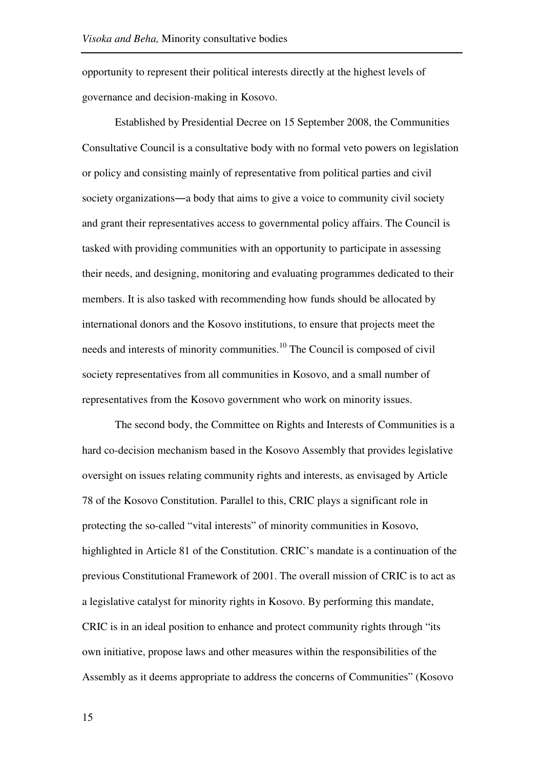opportunity to represent their political interests directly at the highest levels of governance and decision-making in Kosovo.

Established by Presidential Decree on 15 September 2008, the Communities Consultative Council is a consultative body with no formal veto powers on legislation or policy and consisting mainly of representative from political parties and civil society organizations―a body that aims to give a voice to community civil society and grant their representatives access to governmental policy affairs. The Council is tasked with providing communities with an opportunity to participate in assessing their needs, and designing, monitoring and evaluating programmes dedicated to their members. It is also tasked with recommending how funds should be allocated by international donors and the Kosovo institutions, to ensure that projects meet the needs and interests of minority communities.<sup>10</sup> The Council is composed of civil society representatives from all communities in Kosovo, and a small number of representatives from the Kosovo government who work on minority issues.

The second body, the Committee on Rights and Interests of Communities is a hard co-decision mechanism based in the Kosovo Assembly that provides legislative oversight on issues relating community rights and interests, as envisaged by Article 78 of the Kosovo Constitution. Parallel to this, CRIC plays a significant role in protecting the so-called "vital interests" of minority communities in Kosovo, highlighted in Article 81 of the Constitution. CRIC's mandate is a continuation of the previous Constitutional Framework of 2001. The overall mission of CRIC is to act as a legislative catalyst for minority rights in Kosovo. By performing this mandate, CRIC is in an ideal position to enhance and protect community rights through "its own initiative, propose laws and other measures within the responsibilities of the Assembly as it deems appropriate to address the concerns of Communities" (Kosovo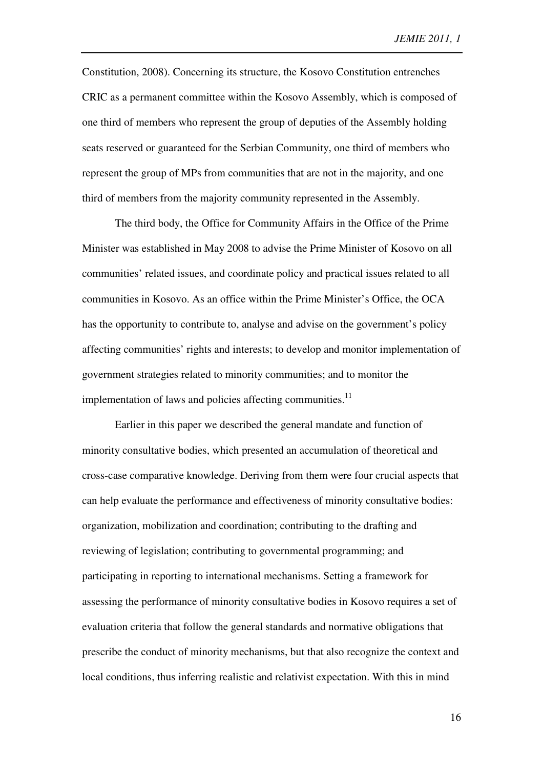Constitution, 2008). Concerning its structure, the Kosovo Constitution entrenches CRIC as a permanent committee within the Kosovo Assembly, which is composed of one third of members who represent the group of deputies of the Assembly holding seats reserved or guaranteed for the Serbian Community, one third of members who represent the group of MPs from communities that are not in the majority, and one third of members from the majority community represented in the Assembly.

The third body, the Office for Community Affairs in the Office of the Prime Minister was established in May 2008 to advise the Prime Minister of Kosovo on all communities' related issues, and coordinate policy and practical issues related to all communities in Kosovo. As an office within the Prime Minister's Office, the OCA has the opportunity to contribute to, analyse and advise on the government's policy affecting communities' rights and interests; to develop and monitor implementation of government strategies related to minority communities; and to monitor the implementation of laws and policies affecting communities. $^{11}$ 

Earlier in this paper we described the general mandate and function of minority consultative bodies, which presented an accumulation of theoretical and cross-case comparative knowledge. Deriving from them were four crucial aspects that can help evaluate the performance and effectiveness of minority consultative bodies: organization, mobilization and coordination; contributing to the drafting and reviewing of legislation; contributing to governmental programming; and participating in reporting to international mechanisms. Setting a framework for assessing the performance of minority consultative bodies in Kosovo requires a set of evaluation criteria that follow the general standards and normative obligations that prescribe the conduct of minority mechanisms, but that also recognize the context and local conditions, thus inferring realistic and relativist expectation. With this in mind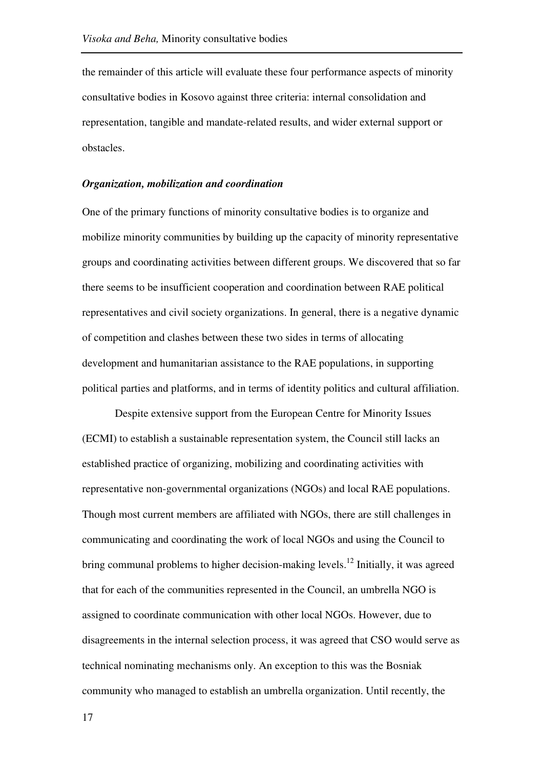the remainder of this article will evaluate these four performance aspects of minority consultative bodies in Kosovo against three criteria: internal consolidation and representation, tangible and mandate-related results, and wider external support or obstacles.

### *Organization, mobilization and coordination*

One of the primary functions of minority consultative bodies is to organize and mobilize minority communities by building up the capacity of minority representative groups and coordinating activities between different groups. We discovered that so far there seems to be insufficient cooperation and coordination between RAE political representatives and civil society organizations. In general, there is a negative dynamic of competition and clashes between these two sides in terms of allocating development and humanitarian assistance to the RAE populations, in supporting political parties and platforms, and in terms of identity politics and cultural affiliation.

Despite extensive support from the European Centre for Minority Issues (ECMI) to establish a sustainable representation system, the Council still lacks an established practice of organizing, mobilizing and coordinating activities with representative non-governmental organizations (NGOs) and local RAE populations. Though most current members are affiliated with NGOs, there are still challenges in communicating and coordinating the work of local NGOs and using the Council to bring communal problems to higher decision-making levels.<sup>12</sup> Initially, it was agreed that for each of the communities represented in the Council, an umbrella NGO is assigned to coordinate communication with other local NGOs. However, due to disagreements in the internal selection process, it was agreed that CSO would serve as technical nominating mechanisms only. An exception to this was the Bosniak community who managed to establish an umbrella organization. Until recently, the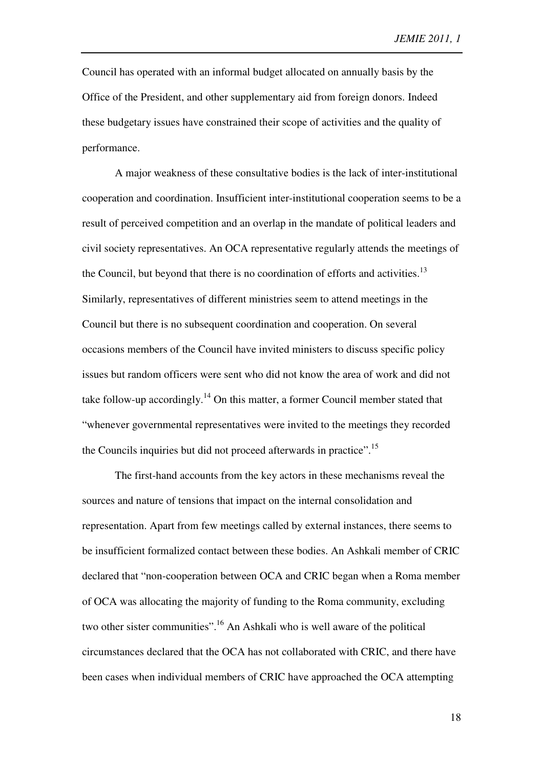Council has operated with an informal budget allocated on annually basis by the Office of the President, and other supplementary aid from foreign donors. Indeed these budgetary issues have constrained their scope of activities and the quality of performance.

A major weakness of these consultative bodies is the lack of inter-institutional cooperation and coordination. Insufficient inter-institutional cooperation seems to be a result of perceived competition and an overlap in the mandate of political leaders and civil society representatives. An OCA representative regularly attends the meetings of the Council, but beyond that there is no coordination of efforts and activities.<sup>13</sup> Similarly, representatives of different ministries seem to attend meetings in the Council but there is no subsequent coordination and cooperation. On several occasions members of the Council have invited ministers to discuss specific policy issues but random officers were sent who did not know the area of work and did not take follow-up accordingly.<sup>14</sup> On this matter, a former Council member stated that "whenever governmental representatives were invited to the meetings they recorded the Councils inquiries but did not proceed afterwards in practice".<sup>15</sup>

The first-hand accounts from the key actors in these mechanisms reveal the sources and nature of tensions that impact on the internal consolidation and representation. Apart from few meetings called by external instances, there seems to be insufficient formalized contact between these bodies. An Ashkali member of CRIC declared that "non-cooperation between OCA and CRIC began when a Roma member of OCA was allocating the majority of funding to the Roma community, excluding two other sister communities".<sup>16</sup> An Ashkali who is well aware of the political circumstances declared that the OCA has not collaborated with CRIC, and there have been cases when individual members of CRIC have approached the OCA attempting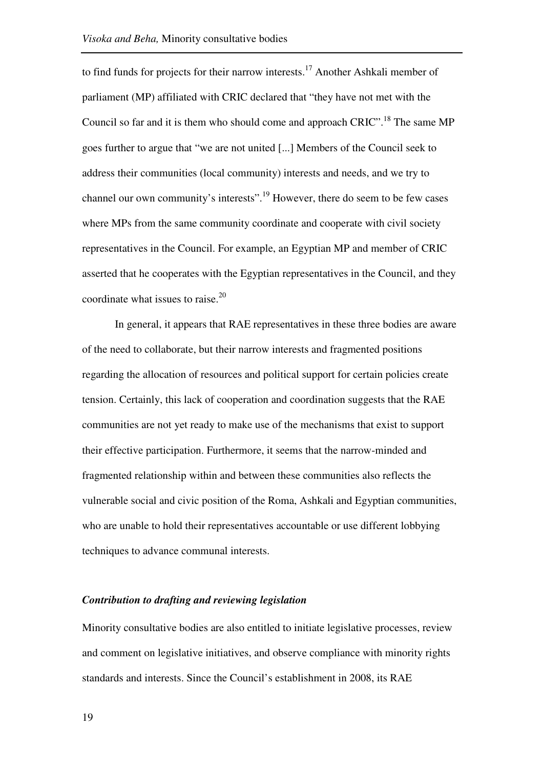to find funds for projects for their narrow interests.<sup>17</sup> Another Ashkali member of parliament (MP) affiliated with CRIC declared that "they have not met with the Council so far and it is them who should come and approach  $CRIC$ <sup> $18$ </sup>. The same MP goes further to argue that "we are not united [...] Members of the Council seek to address their communities (local community) interests and needs, and we try to channel our own community's interests".<sup>19</sup> However, there do seem to be few cases where MPs from the same community coordinate and cooperate with civil society representatives in the Council. For example, an Egyptian MP and member of CRIC asserted that he cooperates with the Egyptian representatives in the Council, and they coordinate what issues to raise. $20$ 

In general, it appears that RAE representatives in these three bodies are aware of the need to collaborate, but their narrow interests and fragmented positions regarding the allocation of resources and political support for certain policies create tension. Certainly, this lack of cooperation and coordination suggests that the RAE communities are not yet ready to make use of the mechanisms that exist to support their effective participation. Furthermore, it seems that the narrow-minded and fragmented relationship within and between these communities also reflects the vulnerable social and civic position of the Roma, Ashkali and Egyptian communities, who are unable to hold their representatives accountable or use different lobbying techniques to advance communal interests.

### *Contribution to drafting and reviewing legislation*

Minority consultative bodies are also entitled to initiate legislative processes, review and comment on legislative initiatives, and observe compliance with minority rights standards and interests. Since the Council's establishment in 2008, its RAE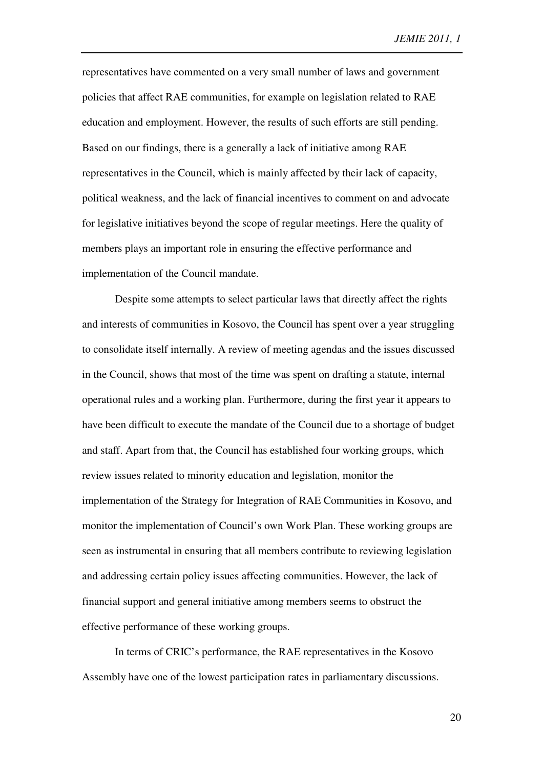representatives have commented on a very small number of laws and government policies that affect RAE communities, for example on legislation related to RAE education and employment. However, the results of such efforts are still pending. Based on our findings, there is a generally a lack of initiative among RAE representatives in the Council, which is mainly affected by their lack of capacity, political weakness, and the lack of financial incentives to comment on and advocate for legislative initiatives beyond the scope of regular meetings. Here the quality of members plays an important role in ensuring the effective performance and implementation of the Council mandate.

Despite some attempts to select particular laws that directly affect the rights and interests of communities in Kosovo, the Council has spent over a year struggling to consolidate itself internally. A review of meeting agendas and the issues discussed in the Council, shows that most of the time was spent on drafting a statute, internal operational rules and a working plan. Furthermore, during the first year it appears to have been difficult to execute the mandate of the Council due to a shortage of budget and staff. Apart from that, the Council has established four working groups, which review issues related to minority education and legislation, monitor the implementation of the Strategy for Integration of RAE Communities in Kosovo, and monitor the implementation of Council's own Work Plan. These working groups are seen as instrumental in ensuring that all members contribute to reviewing legislation and addressing certain policy issues affecting communities. However, the lack of financial support and general initiative among members seems to obstruct the effective performance of these working groups.

In terms of CRIC's performance, the RAE representatives in the Kosovo Assembly have one of the lowest participation rates in parliamentary discussions.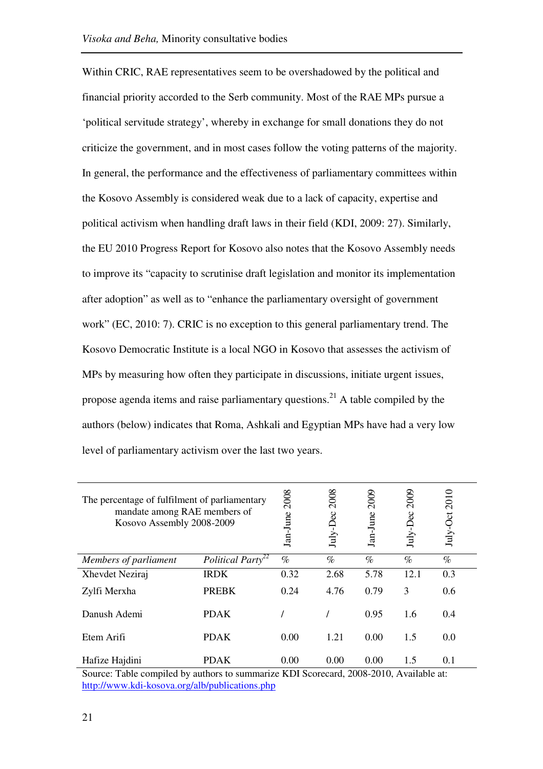Within CRIC, RAE representatives seem to be overshadowed by the political and financial priority accorded to the Serb community. Most of the RAE MPs pursue a 'political servitude strategy', whereby in exchange for small donations they do not criticize the government, and in most cases follow the voting patterns of the majority. In general, the performance and the effectiveness of parliamentary committees within the Kosovo Assembly is considered weak due to a lack of capacity, expertise and political activism when handling draft laws in their field (KDI, 2009: 27). Similarly, the EU 2010 Progress Report for Kosovo also notes that the Kosovo Assembly needs to improve its "capacity to scrutinise draft legislation and monitor its implementation after adoption" as well as to "enhance the parliamentary oversight of government work" (EC, 2010: 7). CRIC is no exception to this general parliamentary trend. The Kosovo Democratic Institute is a local NGO in Kosovo that assesses the activism of MPs by measuring how often they participate in discussions, initiate urgent issues, propose agenda items and raise parliamentary questions.<sup>21</sup> A table compiled by the authors (below) indicates that Roma, Ashkali and Egyptian MPs have had a very low level of parliamentary activism over the last two years.

| The percentage of fulfilment of parliamentary<br>mandate among RAE members of<br>Kosovo Assembly 2008-2009 |                               | 2008<br>Jan-June | 2008<br>$Iuly-Dec$ | 2009<br>Jan-June | 2009<br>July-Dec | 2010<br>$July-Oct$ |
|------------------------------------------------------------------------------------------------------------|-------------------------------|------------------|--------------------|------------------|------------------|--------------------|
| Members of parliament                                                                                      | Political Party <sup>22</sup> | $\%$             | $\%$               | $\%$             | $\%$             | $\%$               |
| Xhevdet Neziraj                                                                                            | <b>IRDK</b>                   | 0.32             | 2.68               | 5.78             | 12.1             | 0.3                |
| Zylfi Merxha                                                                                               | <b>PREBK</b>                  | 0.24             | 4.76               | 0.79             | 3                | 0.6                |
| Danush Ademi                                                                                               | <b>PDAK</b>                   |                  |                    | 0.95             | 1.6              | 0.4                |
| Etem Arifi                                                                                                 | <b>PDAK</b>                   | 0.00             | 1.21               | 0.00             | 1.5              | 0.0                |
| Hafize Hajdini                                                                                             | <b>PDAK</b>                   | 0.00             | 0.00               | 0.00             | 1.5              | 0.1                |

Source: Table compiled by authors to summarize KDI Scorecard, 2008-2010, Available at: http://www.kdi-kosova.org/alb/publications.php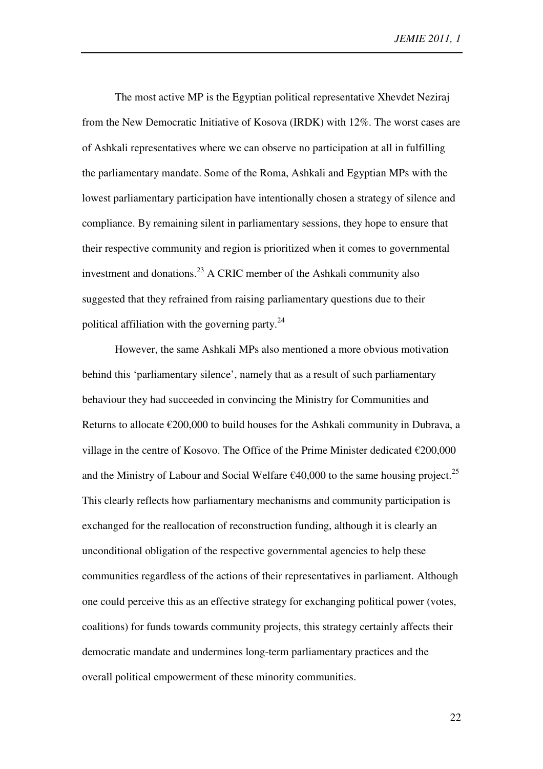The most active MP is the Egyptian political representative Xhevdet Neziraj from the New Democratic Initiative of Kosova (IRDK) with 12%. The worst cases are of Ashkali representatives where we can observe no participation at all in fulfilling the parliamentary mandate. Some of the Roma, Ashkali and Egyptian MPs with the lowest parliamentary participation have intentionally chosen a strategy of silence and compliance. By remaining silent in parliamentary sessions, they hope to ensure that their respective community and region is prioritized when it comes to governmental investment and donations.<sup>23</sup> A CRIC member of the Ashkali community also suggested that they refrained from raising parliamentary questions due to their political affiliation with the governing party. $24$ 

However, the same Ashkali MPs also mentioned a more obvious motivation behind this 'parliamentary silence', namely that as a result of such parliamentary behaviour they had succeeded in convincing the Ministry for Communities and Returns to allocate  $\epsilon$ 200,000 to build houses for the Ashkali community in Dubrava, a village in the centre of Kosovo. The Office of the Prime Minister dedicated  $\epsilon$ 200,000 and the Ministry of Labour and Social Welfare  $\epsilon$ 40,000 to the same housing project.<sup>25</sup> This clearly reflects how parliamentary mechanisms and community participation is exchanged for the reallocation of reconstruction funding, although it is clearly an unconditional obligation of the respective governmental agencies to help these communities regardless of the actions of their representatives in parliament. Although one could perceive this as an effective strategy for exchanging political power (votes, coalitions) for funds towards community projects, this strategy certainly affects their democratic mandate and undermines long-term parliamentary practices and the overall political empowerment of these minority communities.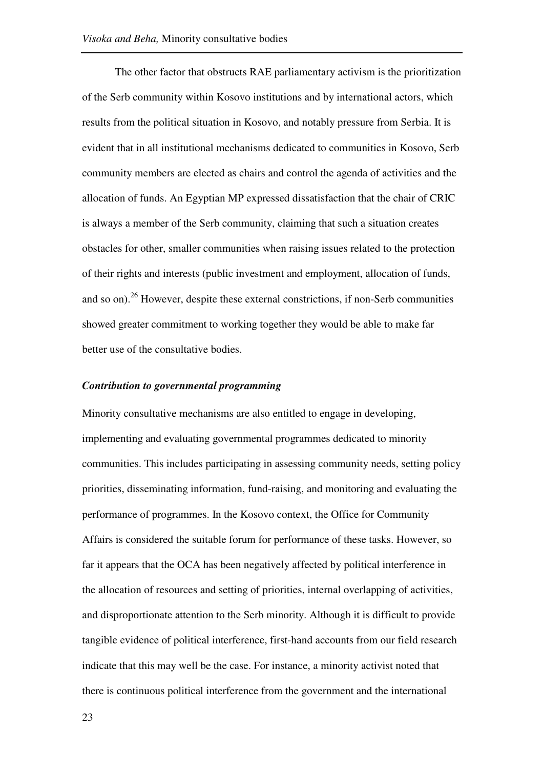The other factor that obstructs RAE parliamentary activism is the prioritization of the Serb community within Kosovo institutions and by international actors, which results from the political situation in Kosovo, and notably pressure from Serbia. It is evident that in all institutional mechanisms dedicated to communities in Kosovo, Serb community members are elected as chairs and control the agenda of activities and the allocation of funds. An Egyptian MP expressed dissatisfaction that the chair of CRIC is always a member of the Serb community, claiming that such a situation creates obstacles for other, smaller communities when raising issues related to the protection of their rights and interests (public investment and employment, allocation of funds, and so on).<sup>26</sup> However, despite these external constrictions, if non-Serb communities showed greater commitment to working together they would be able to make far better use of the consultative bodies.

# *Contribution to governmental programming*

Minority consultative mechanisms are also entitled to engage in developing, implementing and evaluating governmental programmes dedicated to minority communities. This includes participating in assessing community needs, setting policy priorities, disseminating information, fund-raising, and monitoring and evaluating the performance of programmes. In the Kosovo context, the Office for Community Affairs is considered the suitable forum for performance of these tasks. However, so far it appears that the OCA has been negatively affected by political interference in the allocation of resources and setting of priorities, internal overlapping of activities, and disproportionate attention to the Serb minority. Although it is difficult to provide tangible evidence of political interference, first-hand accounts from our field research indicate that this may well be the case. For instance, a minority activist noted that there is continuous political interference from the government and the international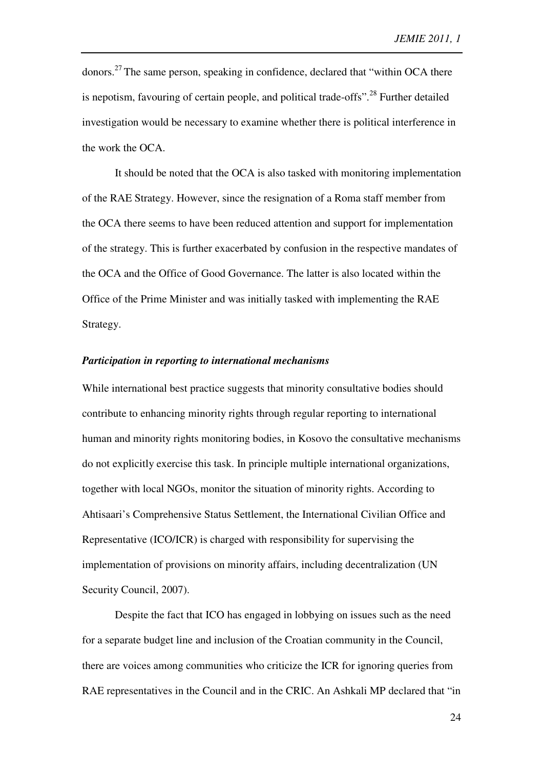donors.<sup>27</sup> The same person, speaking in confidence, declared that "within OCA there is nepotism, favouring of certain people, and political trade-offs".<sup>28</sup> Further detailed investigation would be necessary to examine whether there is political interference in the work the OCA.

It should be noted that the OCA is also tasked with monitoring implementation of the RAE Strategy. However, since the resignation of a Roma staff member from the OCA there seems to have been reduced attention and support for implementation of the strategy. This is further exacerbated by confusion in the respective mandates of the OCA and the Office of Good Governance. The latter is also located within the Office of the Prime Minister and was initially tasked with implementing the RAE Strategy.

#### *Participation in reporting to international mechanisms*

While international best practice suggests that minority consultative bodies should contribute to enhancing minority rights through regular reporting to international human and minority rights monitoring bodies, in Kosovo the consultative mechanisms do not explicitly exercise this task. In principle multiple international organizations, together with local NGOs, monitor the situation of minority rights. According to Ahtisaari's Comprehensive Status Settlement, the International Civilian Office and Representative (ICO/ICR) is charged with responsibility for supervising the implementation of provisions on minority affairs, including decentralization (UN Security Council, 2007).

Despite the fact that ICO has engaged in lobbying on issues such as the need for a separate budget line and inclusion of the Croatian community in the Council, there are voices among communities who criticize the ICR for ignoring queries from RAE representatives in the Council and in the CRIC. An Ashkali MP declared that "in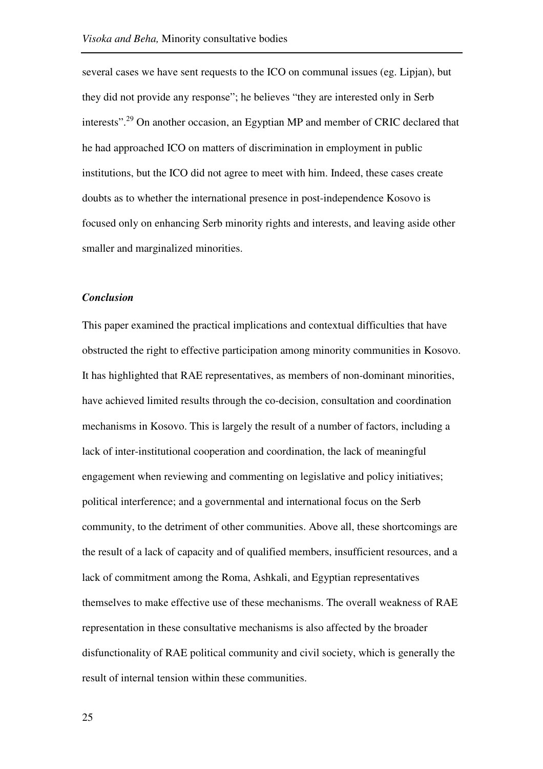several cases we have sent requests to the ICO on communal issues (eg. Lipjan), but they did not provide any response"; he believes "they are interested only in Serb interests".<sup>29</sup> On another occasion, an Egyptian MP and member of CRIC declared that he had approached ICO on matters of discrimination in employment in public institutions, but the ICO did not agree to meet with him. Indeed, these cases create doubts as to whether the international presence in post-independence Kosovo is focused only on enhancing Serb minority rights and interests, and leaving aside other smaller and marginalized minorities.

#### *Conclusion*

This paper examined the practical implications and contextual difficulties that have obstructed the right to effective participation among minority communities in Kosovo. It has highlighted that RAE representatives, as members of non-dominant minorities, have achieved limited results through the co-decision, consultation and coordination mechanisms in Kosovo. This is largely the result of a number of factors, including a lack of inter-institutional cooperation and coordination, the lack of meaningful engagement when reviewing and commenting on legislative and policy initiatives; political interference; and a governmental and international focus on the Serb community, to the detriment of other communities. Above all, these shortcomings are the result of a lack of capacity and of qualified members, insufficient resources, and a lack of commitment among the Roma, Ashkali, and Egyptian representatives themselves to make effective use of these mechanisms. The overall weakness of RAE representation in these consultative mechanisms is also affected by the broader disfunctionality of RAE political community and civil society, which is generally the result of internal tension within these communities.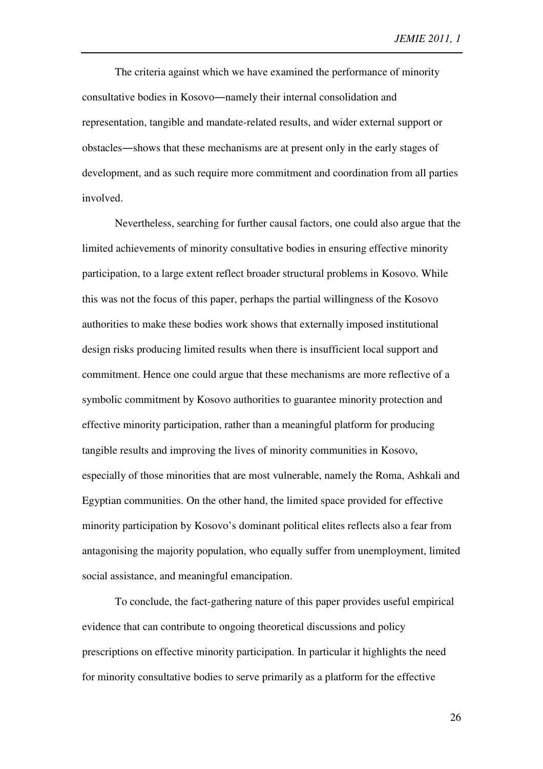The criteria against which we have examined the performance of minority consultative bodies in Kosovo―namely their internal consolidation and representation, tangible and mandate-related results, and wider external support or obstacles―shows that these mechanisms are at present only in the early stages of development, and as such require more commitment and coordination from all parties involved.

Nevertheless, searching for further causal factors, one could also argue that the limited achievements of minority consultative bodies in ensuring effective minority participation, to a large extent reflect broader structural problems in Kosovo. While this was not the focus of this paper, perhaps the partial willingness of the Kosovo authorities to make these bodies work shows that externally imposed institutional design risks producing limited results when there is insufficient local support and commitment. Hence one could argue that these mechanisms are more reflective of a symbolic commitment by Kosovo authorities to guarantee minority protection and effective minority participation, rather than a meaningful platform for producing tangible results and improving the lives of minority communities in Kosovo, especially of those minorities that are most vulnerable, namely the Roma, Ashkali and Egyptian communities. On the other hand, the limited space provided for effective minority participation by Kosovo's dominant political elites reflects also a fear from antagonising the majority population, who equally suffer from unemployment, limited social assistance, and meaningful emancipation.

To conclude, the fact-gathering nature of this paper provides useful empirical evidence that can contribute to ongoing theoretical discussions and policy prescriptions on effective minority participation. In particular it highlights the need for minority consultative bodies to serve primarily as a platform for the effective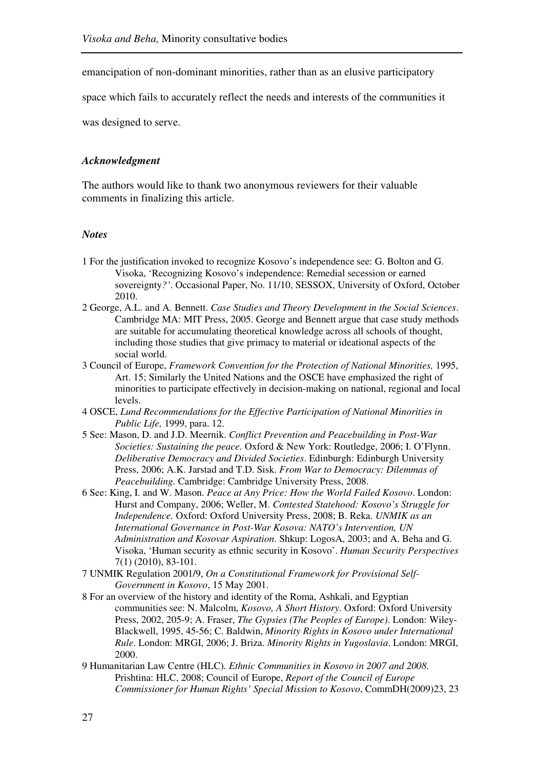emancipation of non-dominant minorities, rather than as an elusive participatory

space which fails to accurately reflect the needs and interests of the communities it

was designed to serve.

#### *Acknowledgment*

The authors would like to thank two anonymous reviewers for their valuable comments in finalizing this article.

### *Notes*

- 1 For the justification invoked to recognize Kosovo's independence see: G. Bolton and G. Visoka, 'Recognizing Kosovo's independence: Remedial secession or earned sovereignty*?'*. Occasional Paper, No. 11/10, SESSOX, University of Oxford, October 2010.
- 2 George, A.L. and A. Bennett. *Case Studies and Theory Development in the Social Sciences*. Cambridge MA: MIT Press, 2005. George and Bennett argue that case study methods are suitable for accumulating theoretical knowledge across all schools of thought, including those studies that give primacy to material or ideational aspects of the social world.
- 3 Council of Europe, *Framework Convention for the Protection of National Minorities,* 1995, Art. 15; Similarly the United Nations and the OSCE have emphasized the right of minorities to participate effectively in decision-making on national, regional and local levels.
- 4 OSCE, *Lund Recommendations for the Effective Participation of National Minorities in Public Life,* 1999, para. 12.
- 5 See: Mason, D. and J.D. Meernik. *Conflict Prevention and Peacebuilding in Post-War Societies: Sustaining the peace*. Oxford & New York: Routledge, 2006; I. O'Flynn. *Deliberative Democracy and Divided Societies*. Edinburgh: Edinburgh University Press, 2006; A.K. Jarstad and T.D. Sisk. *From War to Democracy: Dilemmas of Peacebuilding.* Cambridge: Cambridge University Press, 2008.
- 6 See: King, I. and W. Mason. *Peace at Any Price: How the World Failed Kosovo*. London: Hurst and Company, 2006; Weller, M. *Contested Statehood: Kosovo's Struggle for Independence.* Oxford: Oxford University Press, 2008; B. Reka. *UNMIK as an International Governance in Post-War Kosova: NATO's Intervention, UN Administration and Kosovar Aspiration*. Shkup: LogosA, 2003; and A. Beha and G. Visoka, 'Human security as ethnic security in Kosovo'. *Human Security Perspectives* 7(1) (2010), 83-101.
- 7 UNMIK Regulation 2001/9, *On a Constitutional Framework for Provisional Self-Government in Kosovo*, 15 May 2001.
- 8 For an overview of the history and identity of the Roma, Ashkali, and Egyptian communities see: N. Malcolm, *Kosovo, A Short History*. Oxford: Oxford University Press, 2002, 205-9; A. Fraser, *The Gypsies (The Peoples of Europe)*. London: Wiley-Blackwell, 1995, 45-56; C. Baldwin, *Minority Rights in Kosovo under International Rule*. London: MRGI, 2006; J. Briza. *Minority Rights in Yugoslavia*. London: MRGI, 2000.
- 9 Humanitarian Law Centre (HLC)*. Ethnic Communities in Kosovo in 2007 and 2008*. Prishtina: HLC, 2008; Council of Europe, *Report of the Council of Europe Commissioner for Human Rights' Special Mission to Kosovo*, CommDH(2009)23, 23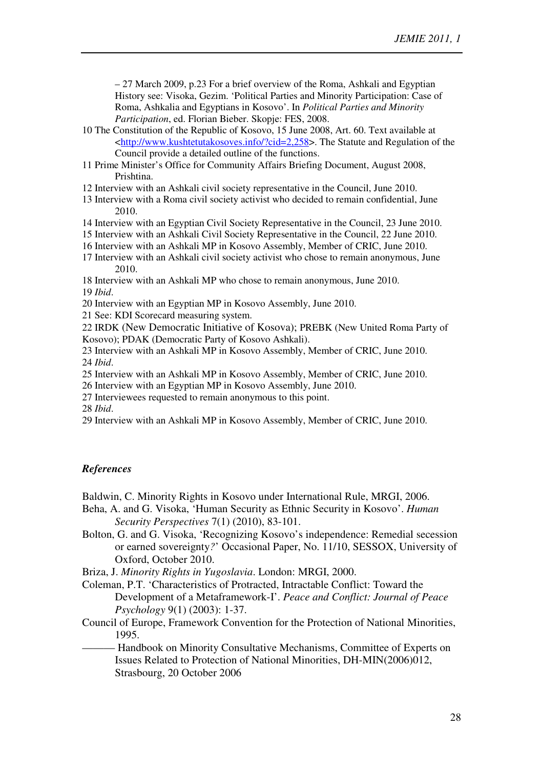– 27 March 2009, p.23 For a brief overview of the Roma, Ashkali and Egyptian History see: Visoka, Gezim. 'Political Parties and Minority Participation: Case of Roma, Ashkalia and Egyptians in Kosovo'. In *Political Parties and Minority Participation*, ed. Florian Bieber. Skopje: FES, 2008.

- 10 The Constitution of the Republic of Kosovo, 15 June 2008, Art. 60. Text available at <http://www.kushtetutakosoves.info/?cid=2,258>. The Statute and Regulation of the Council provide a detailed outline of the functions.
- 11 Prime Minister's Office for Community Affairs Briefing Document, August 2008, Prishtina.

12 Interview with an Ashkali civil society representative in the Council, June 2010.

- 13 Interview with a Roma civil society activist who decided to remain confidential, June 2010.
- 14 Interview with an Egyptian Civil Society Representative in the Council, 23 June 2010.
- 15 Interview with an Ashkali Civil Society Representative in the Council, 22 June 2010.
- 16 Interview with an Ashkali MP in Kosovo Assembly, Member of CRIC, June 2010.
- 17 Interview with an Ashkali civil society activist who chose to remain anonymous, June 2010.

18 Interview with an Ashkali MP who chose to remain anonymous, June 2010.

19 *Ibid*.

20 Interview with an Egyptian MP in Kosovo Assembly, June 2010.

21 See: KDI Scorecard measuring system.

22 IRDK (New Democratic Initiative of Kosova); PREBK (New United Roma Party of Kosovo); PDAK (Democratic Party of Kosovo Ashkali).

23 Interview with an Ashkali MP in Kosovo Assembly, Member of CRIC, June 2010. 24 *Ibid*.

25 Interview with an Ashkali MP in Kosovo Assembly, Member of CRIC, June 2010.

- 26 Interview with an Egyptian MP in Kosovo Assembly, June 2010.
- 27 Interviewees requested to remain anonymous to this point.

28 *Ibid*.

29 Interview with an Ashkali MP in Kosovo Assembly, Member of CRIC, June 2010.

# *References*

Baldwin, C. Minority Rights in Kosovo under International Rule, MRGI, 2006.

- Beha, A. and G. Visoka, 'Human Security as Ethnic Security in Kosovo'. *Human Security Perspectives* 7(1) (2010), 83-101.
- Bolton, G. and G. Visoka, 'Recognizing Kosovo's independence: Remedial secession or earned sovereignty*?*' Occasional Paper, No. 11/10, SESSOX, University of Oxford, October 2010.

Briza, J. *Minority Rights in Yugoslavia*. London: MRGI, 2000.

Coleman, P.T. 'Characteristics of Protracted, Intractable Conflict: Toward the Development of a Metaframework-I'. *Peace and Conflict: Journal of Peace Psychology* 9(1) (2003): 1-37.

- Council of Europe, Framework Convention for the Protection of National Minorities, 1995.
- Handbook on Minority Consultative Mechanisms, Committee of Experts on Issues Related to Protection of National Minorities, DH-MIN(2006)012, Strasbourg, 20 October 2006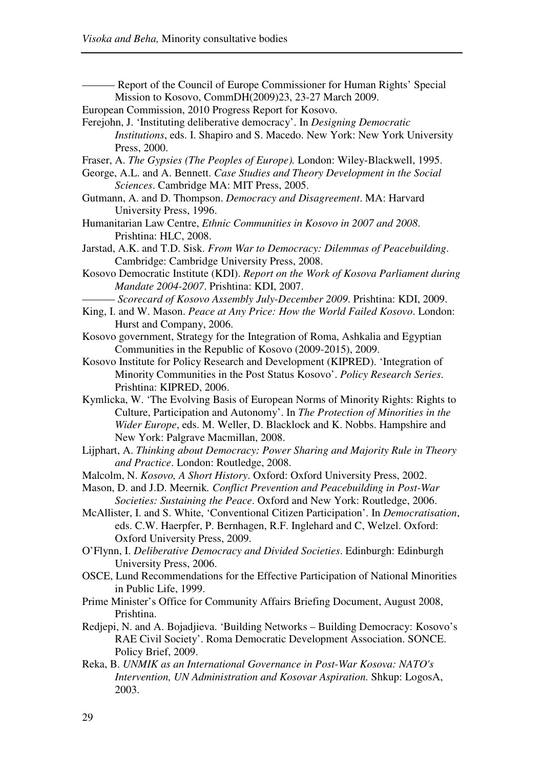- Report of the Council of Europe Commissioner for Human Rights' Special Mission to Kosovo, CommDH(2009)23, 23-27 March 2009.

- European Commission, 2010 Progress Report for Kosovo.
- Ferejohn, J. 'Instituting deliberative democracy'. In *Designing Democratic Institutions*, eds. I. Shapiro and S. Macedo. New York: New York University Press, 2000.
- Fraser, A. *The Gypsies (The Peoples of Europe).* London: Wiley-Blackwell, 1995.
- George, A.L. and A. Bennett. *Case Studies and Theory Development in the Social Sciences*. Cambridge MA: MIT Press, 2005.
- Gutmann, A. and D. Thompson. *Democracy and Disagreement*. MA: Harvard University Press, 1996.
- Humanitarian Law Centre, *Ethnic Communities in Kosovo in 2007 and 2008*. Prishtina: HLC, 2008.
- Jarstad, A.K. and T.D. Sisk. *From War to Democracy: Dilemmas of Peacebuilding*. Cambridge: Cambridge University Press, 2008.
- Kosovo Democratic Institute (KDI). *Report on the Work of Kosova Parliament during Mandate 2004-2007*. Prishtina: KDI, 2007.
	- ——— *Scorecard of Kosovo Assembly July-December 2009*. Prishtina: KDI, 2009.
- King, I. and W. Mason. *Peace at Any Price: How the World Failed Kosovo*. London: Hurst and Company, 2006.
- Kosovo government, Strategy for the Integration of Roma, Ashkalia and Egyptian Communities in the Republic of Kosovo (2009-2015), 2009.
- Kosovo Institute for Policy Research and Development (KIPRED). 'Integration of Minority Communities in the Post Status Kosovo'. *Policy Research Series*. Prishtina: KIPRED, 2006.
- Kymlicka, W. 'The Evolving Basis of European Norms of Minority Rights: Rights to Culture, Participation and Autonomy'. In *The Protection of Minorities in the Wider Europe*, eds. M. Weller, D. Blacklock and K. Nobbs. Hampshire and New York: Palgrave Macmillan, 2008.
- Lijphart, A. *Thinking about Democracy: Power Sharing and Majority Rule in Theory and Practice*. London: Routledge, 2008.
- Malcolm, N. *Kosovo, A Short History*. Oxford: Oxford University Press, 2002.
- Mason, D. and J.D. Meernik*. Conflict Prevention and Peacebuilding in Post-War Societies: Sustaining the Peace*. Oxford and New York: Routledge, 2006.
- McAllister, I. and S. White, 'Conventional Citizen Participation'. In *Democratisation*, eds. C.W. Haerpfer, P. Bernhagen, R.F. Inglehard and C, Welzel. Oxford: Oxford University Press, 2009.
- O'Flynn, I. *Deliberative Democracy and Divided Societies*. Edinburgh: Edinburgh University Press, 2006.
- OSCE, Lund Recommendations for the Effective Participation of National Minorities in Public Life, 1999.
- Prime Minister's Office for Community Affairs Briefing Document, August 2008, Prishtina.
- Redjepi, N. and A. Bojadjieva. 'Building Networks Building Democracy: Kosovo's RAE Civil Society'. Roma Democratic Development Association. SONCE. Policy Brief, 2009.
- Reka, B. *UNMIK as an International Governance in Post-War Kosova: NATO's Intervention, UN Administration and Kosovar Aspiration.* Shkup: LogosA, 2003.